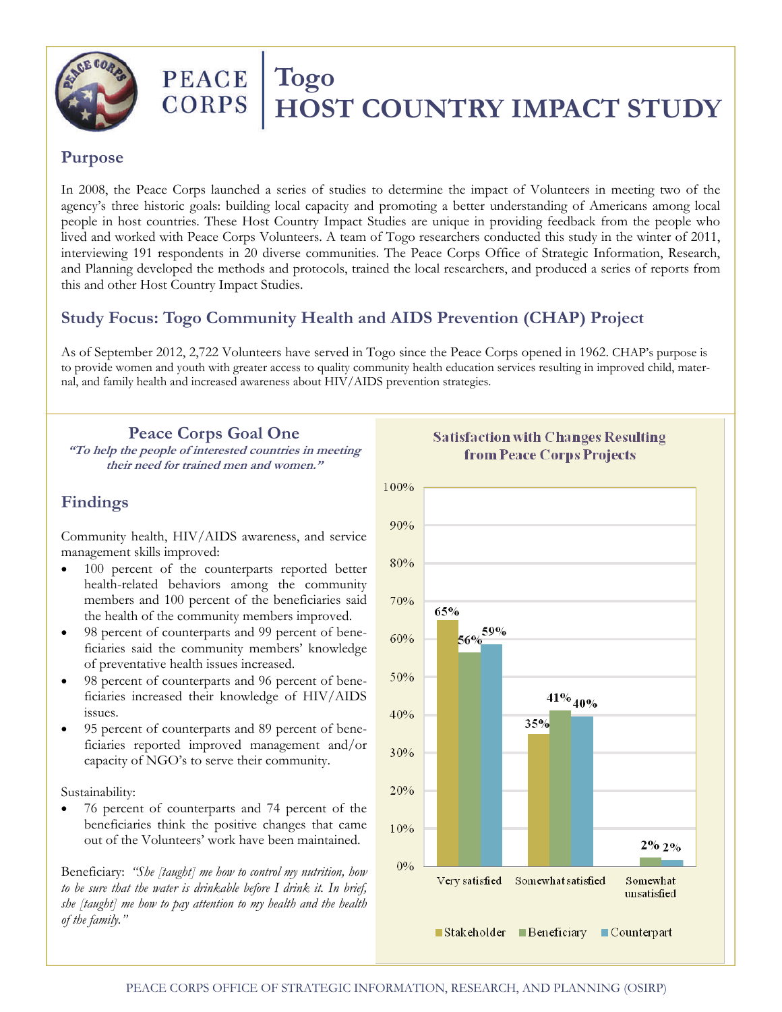

# PEACE Togo **CORPS | HOST COUNTRY IMPACT STUDY**

#### **Purpose**

In 2008, the Peace Corps launched a series of studies to determine the impact of Volunteers in meeting two of the agency's three historic goals: building local capacity and promoting a better understanding of Americans among local people in host countries. These Host Country Impact Studies are unique in providing feedback from the people who lived and worked with Peace Corps Volunteers. A team of Togo researchers conducted this study in the winter of 2011, interviewing 191 respondents in 20 diverse communities. The Peace Corps Office of Strategic Information, Research, and Planning developed the methods and protocols, trained the local researchers, and produced a series of reports from this and other Host Country Impact Studies.

# **Study Focus: Togo Community Health and AIDS Prevention (CHAP) Project**

As of September 2012, 2,722 Volunteers have served in Togo since the Peace Corps opened in 1962. CHAP's purpose is to provide women and youth with greater access to quality community health education services resulting in improved child, maternal, and family health and increased awareness about HIV/AIDS prevention strategies.

**Peace Corps Goal One "To help the people of interested countries in meeting their need for trained men and women."** 

## **Findings**

Community health, HIV/AIDS awareness, and service management skills improved:

- 100 percent of the counterparts reported better health-related behaviors among the community members and 100 percent of the beneficiaries said the health of the community members improved.
- 98 percent of counterparts and 99 percent of beneficiaries said the community members' knowledge of preventative health issues increased.
- 98 percent of counterparts and 96 percent of beneficiaries increased their knowledge of HIV/AIDS issues.
- 95 percent of counterparts and 89 percent of beneficiaries reported improved management and/or capacity of NGO's to serve their community.

#### Sustainability:

 76 percent of counterparts and 74 percent of the beneficiaries think the positive changes that came out of the Volunteers' work have been maintained.

Beneficiary: *"She [taught] me how to control my nutrition, how to be sure that the water is drinkable before I drink it. In brief, she [taught] me how to pay attention to my health and the health of the family."*